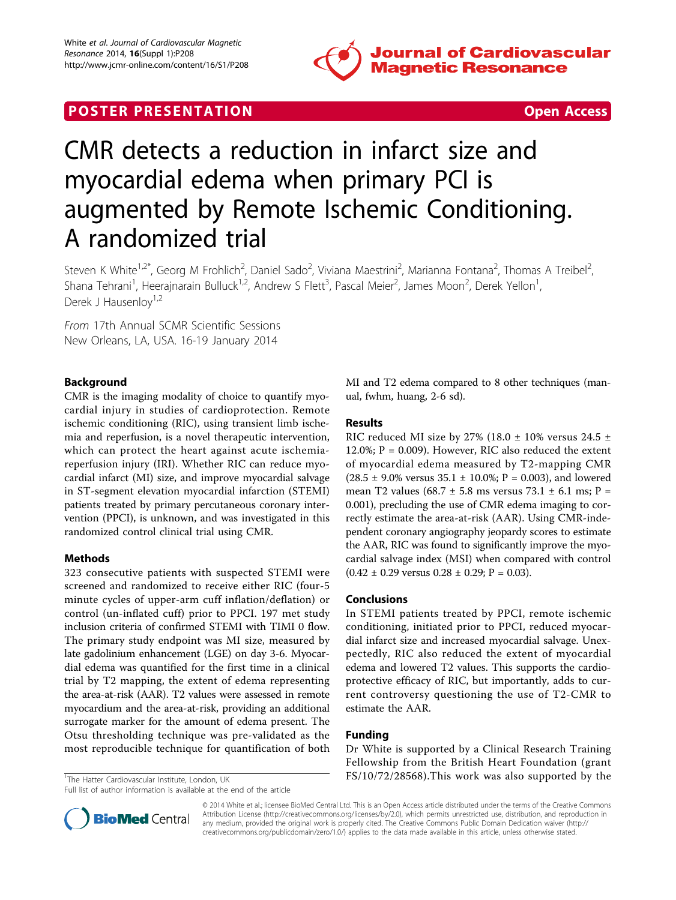

# **POSTER PRESENTATION CONSUMING THE SECOND CONSUMING THE SECOND CONSUMING THE SECOND CONSUMING THE SECOND CONSUMING THE SECOND CONSUMING THE SECOND CONSUMING THE SECOND CONSUMING THE SECOND CONSUMING THE SECOND CONSUMING**



# CMR detects a reduction in infarct size and myocardial edema when primary PCI is augmented by Remote Ischemic Conditioning. A randomized trial

Steven K White<sup>1,2\*</sup>, Georg M Frohlich<sup>2</sup>, Daniel Sado<sup>2</sup>, Viviana Maestrini<sup>2</sup>, Marianna Fontana<sup>2</sup>, Thomas A Treibel<sup>2</sup> , Shana Tehrani<sup>1</sup>, Heerajnarain Bulluck<sup>1,2</sup>, Andrew S Flett<sup>3</sup>, Pascal Meier<sup>2</sup>, James Moon<sup>2</sup>, Derek Yellon<sup>1</sup> , Derek J Hausenlov<sup>1,2</sup>

From 17th Annual SCMR Scientific Sessions New Orleans, LA, USA. 16-19 January 2014

# Background

CMR is the imaging modality of choice to quantify myocardial injury in studies of cardioprotection. Remote ischemic conditioning (RIC), using transient limb ischemia and reperfusion, is a novel therapeutic intervention, which can protect the heart against acute ischemiareperfusion injury (IRI). Whether RIC can reduce myocardial infarct (MI) size, and improve myocardial salvage in ST-segment elevation myocardial infarction (STEMI) patients treated by primary percutaneous coronary intervention (PPCI), is unknown, and was investigated in this randomized control clinical trial using CMR.

# Methods

323 consecutive patients with suspected STEMI were screened and randomized to receive either RIC (four-5 minute cycles of upper-arm cuff inflation/deflation) or control (un-inflated cuff) prior to PPCI. 197 met study inclusion criteria of confirmed STEMI with TIMI 0 flow. The primary study endpoint was MI size, measured by late gadolinium enhancement (LGE) on day 3-6. Myocardial edema was quantified for the first time in a clinical trial by T2 mapping, the extent of edema representing the area-at-risk (AAR). T2 values were assessed in remote myocardium and the area-at-risk, providing an additional surrogate marker for the amount of edema present. The Otsu thresholding technique was pre-validated as the most reproducible technique for quantification of both

MI and T2 edema compared to 8 other techniques (manual, fwhm, huang, 2-6 sd).

## Results

RIC reduced MI size by 27% (18.0  $\pm$  10% versus 24.5  $\pm$ 12.0%;  $P = 0.009$ ). However, RIC also reduced the extent of myocardial edema measured by T2-mapping CMR  $(28.5 \pm 9.0\% \text{ versus } 35.1 \pm 10.0\%; P = 0.003)$ , and lowered mean T2 values (68.7  $\pm$  5.8 ms versus 73.1  $\pm$  6.1 ms; P = 0.001), precluding the use of CMR edema imaging to correctly estimate the area-at-risk (AAR). Using CMR-independent coronary angiography jeopardy scores to estimate the AAR, RIC was found to significantly improve the myocardial salvage index (MSI) when compared with control  $(0.42 \pm 0.29 \text{ versus } 0.28 \pm 0.29; P = 0.03).$ 

# Conclusions

In STEMI patients treated by PPCI, remote ischemic conditioning, initiated prior to PPCI, reduced myocardial infarct size and increased myocardial salvage. Unexpectedly, RIC also reduced the extent of myocardial edema and lowered T2 values. This supports the cardioprotective efficacy of RIC, but importantly, adds to current controversy questioning the use of T2-CMR to estimate the AAR.

## Funding

Dr White is supported by a Clinical Research Training Fellowship from the British Heart Foundation (grant  $\frac{1}{1}$ The Hatter Cardiovascular Institute, London, UK FS/10/72/28568). This work was also supported by the



© 2014 White et al.; licensee BioMed Central Ltd. This is an Open Access article distributed under the terms of the Creative Commons Attribution License [\(http://creativecommons.org/licenses/by/2.0](http://creativecommons.org/licenses/by/2.0)), which permits unrestricted use, distribution, and reproduction in any medium, provided the original work is properly cited. The Creative Commons Public Domain Dedication waiver [\(http://](http://creativecommons.org/publicdomain/zero/1.0/) [creativecommons.org/publicdomain/zero/1.0/](http://creativecommons.org/publicdomain/zero/1.0/)) applies to the data made available in this article, unless otherwise stated.

Full list of author information is available at the end of the article